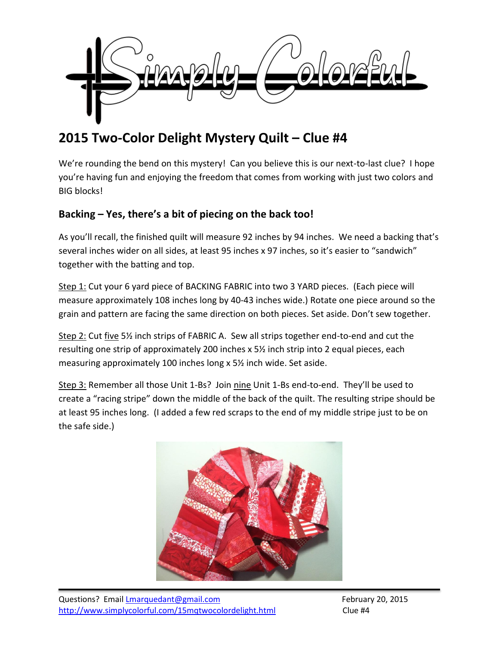

# **2015 Two-Color Delight Mystery Quilt – Clue #4**

We're rounding the bend on this mystery! Can you believe this is our next-to-last clue? I hope you're having fun and enjoying the freedom that comes from working with just two colors and BIG blocks!

# **Backing – Yes, there's a bit of piecing on the back too!**

As you'll recall, the finished quilt will measure 92 inches by 94 inches. We need a backing that's several inches wider on all sides, at least 95 inches x 97 inches, so it's easier to "sandwich" together with the batting and top.

Step 1: Cut your 6 yard piece of BACKING FABRIC into two 3 YARD pieces. (Each piece will measure approximately 108 inches long by 40-43 inches wide.) Rotate one piece around so the grain and pattern are facing the same direction on both pieces. Set aside. Don't sew together.

Step 2: Cut five 5<sup>1</sup>/<sub>2</sub> inch strips of FABRIC A. Sew all strips together end-to-end and cut the resulting one strip of approximately 200 inches x 5½ inch strip into 2 equal pieces, each measuring approximately 100 inches long x 5½ inch wide. Set aside.

Step 3: Remember all those Unit 1-Bs? Join nine Unit 1-Bs end-to-end. They'll be used to create a "racing stripe" down the middle of the back of the quilt. The resulting stripe should be at least 95 inches long. (I added a few red scraps to the end of my middle stripe just to be on the safe side.)

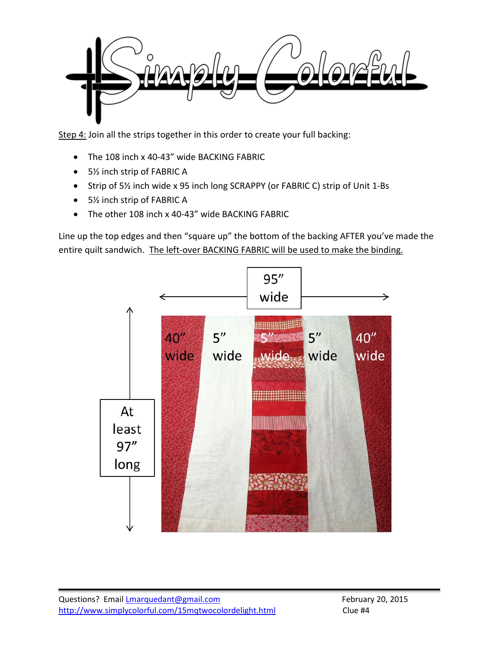

Step 4: Join all the strips together in this order to create your full backing:

- The 108 inch x 40-43" wide BACKING FABRIC
- 5½ inch strip of FABRIC A
- Strip of 5½ inch wide x 95 inch long SCRAPPY (or FABRIC C) strip of Unit 1-Bs
- 5½ inch strip of FABRIC A
- The other 108 inch x 40-43" wide BACKING FABRIC

Line up the top edges and then "square up" the bottom of the backing AFTER you've made the entire quilt sandwich. The left-over BACKING FABRIC will be used to make the binding.

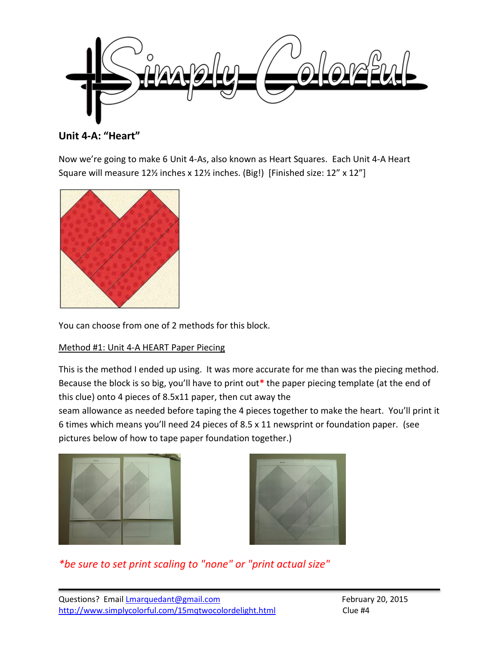

**Unit 4-A: "Heart"**

Now we're going to make 6 Unit 4-As, also known as Heart Squares. Each Unit 4-A Heart Square will measure 12½ inches x 12½ inches. (Big!) [Finished size: 12" x 12"]



You can choose from one of 2 methods for this block.

#### Method #1: Unit 4-A HEART Paper Piecing

This is the method I ended up using. It was more accurate for me than was the piecing method. Because the block is so big, you'll have to print out**\*** the paper piecing template (at the end of this clue) onto 4 pieces of 8.5x11 paper, then cut away the

seam allowance as needed before taping the 4 pieces together to make the heart. You'll print it 6 times which means you'll need 24 pieces of 8.5 x 11 newsprint or foundation paper. (see pictures below of how to tape paper foundation together.)





*\*be sure to set print scaling to "none" or "print actual size"*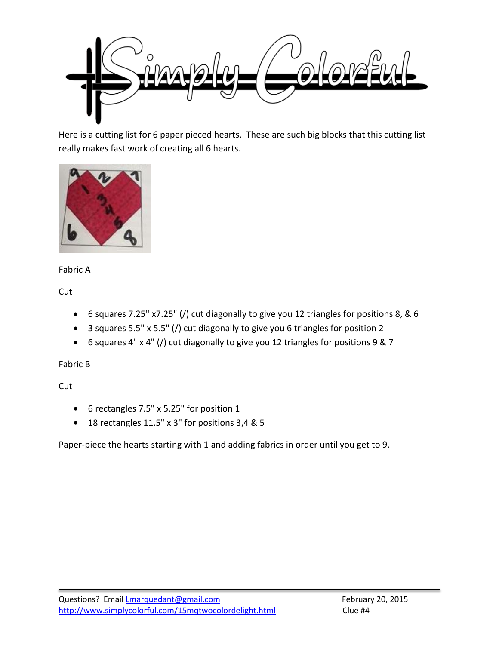

Here is a cutting list for 6 paper pieced hearts. These are such big blocks that this cutting list really makes fast work of creating all 6 hearts.



#### Fabric A

Cut

- 6 squares 7.25" x7.25" (/) cut diagonally to give you 12 triangles for positions 8, & 6
- 3 squares 5.5" x 5.5" (/) cut diagonally to give you 6 triangles for position 2
- 6 squares 4" x 4" (/) cut diagonally to give you 12 triangles for positions 9 & 7

Fabric B

**Cut** 

- 6 rectangles 7.5" x 5.25" for position 1
- 18 rectangles 11.5" x 3" for positions 3,4 & 5

Paper-piece the hearts starting with 1 and adding fabrics in order until you get to 9.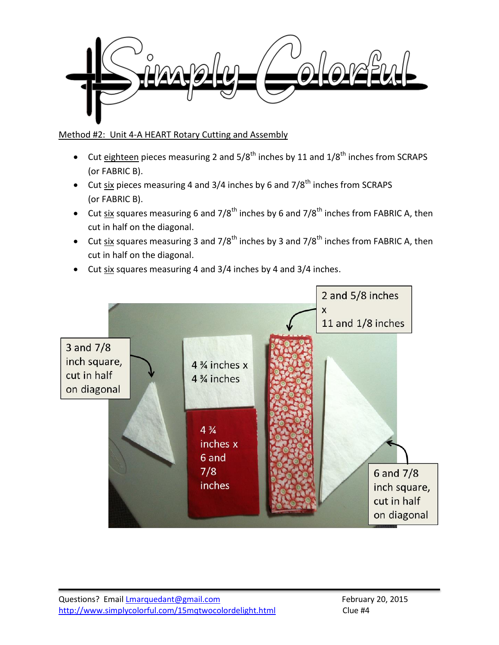

#### Method #2: Unit 4-A HEART Rotary Cutting and Assembly

- Cut eighteen pieces measuring 2 and  $5/8^{th}$  inches by 11 and  $1/8^{th}$  inches from SCRAPS (or FABRIC B).
- Cut six pieces measuring 4 and  $3/4$  inches by 6 and  $7/8^{th}$  inches from SCRAPS (or FABRIC B).
- Cut  $six$  squares measuring 6 and  $7/8^{th}$  inches by 6 and  $7/8^{th}$  inches from FABRIC A, then cut in half on the diagonal.
- Cut six squares measuring 3 and  $7/8^{th}$  inches by 3 and  $7/8^{th}$  inches from FABRIC A, then cut in half on the diagonal.
- Cut six squares measuring 4 and 3/4 inches by 4 and 3/4 inches.

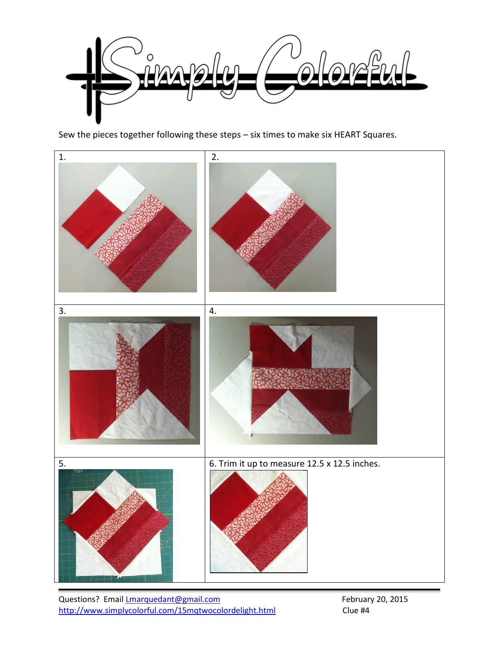

Sew the pieces together following these steps – six times to make six HEART Squares.



Questions? Email **Lmarquedant@gmail.com** February 20, 2015 <http://www.simplycolorful.com/15mqtwocolordelight.html>Clue #4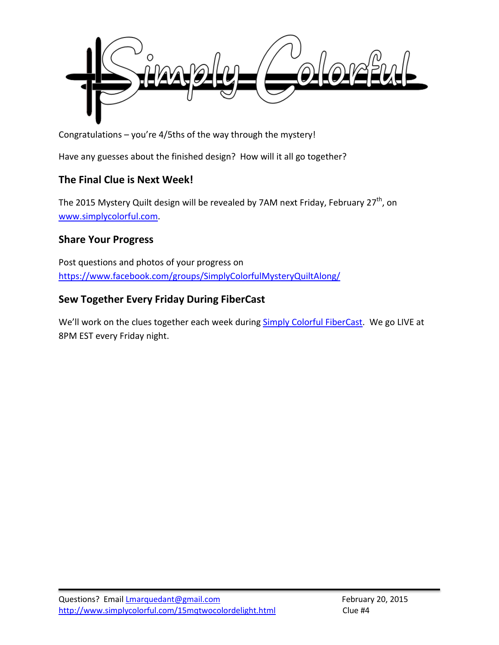

Congratulations – you're 4/5ths of the way through the mystery!

Have any guesses about the finished design? How will it all go together?

## **The Final Clue is Next Week!**

The 2015 Mystery Quilt design will be revealed by 7AM next Friday, February 27<sup>th</sup>, on www.simplycolorful.com.

## **Share Your Progress**

Post questions and photos of your progress on <https://www.facebook.com/groups/SimplyColorfulMysteryQuiltAlong/>

## **Sew Together Every Friday During FiberCast**

We'll work on the clues together each week during [Simply Colorful FiberCast.](https://www.youtube.com/user/Simplycolorful1) We go LIVE at 8PM EST every Friday night.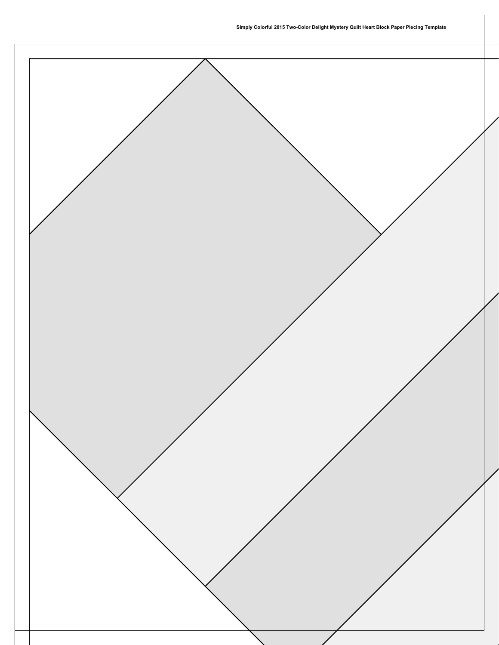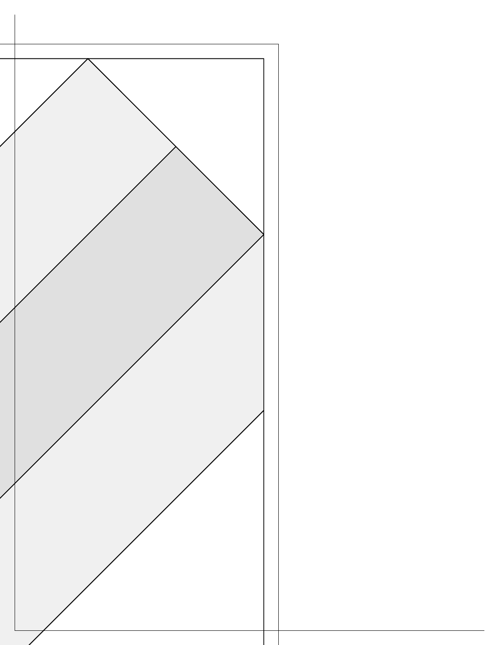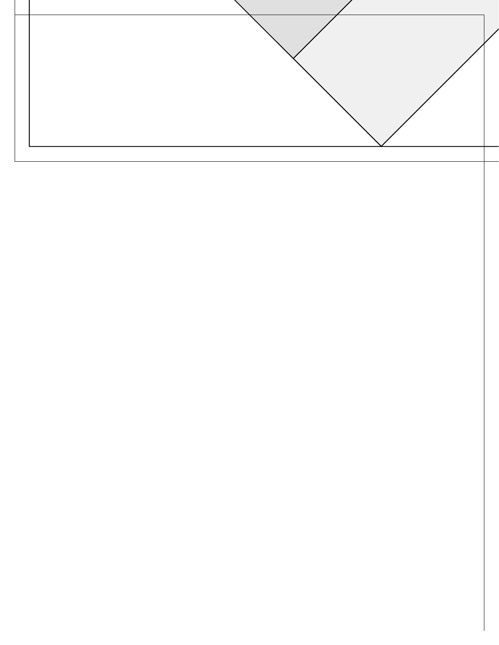